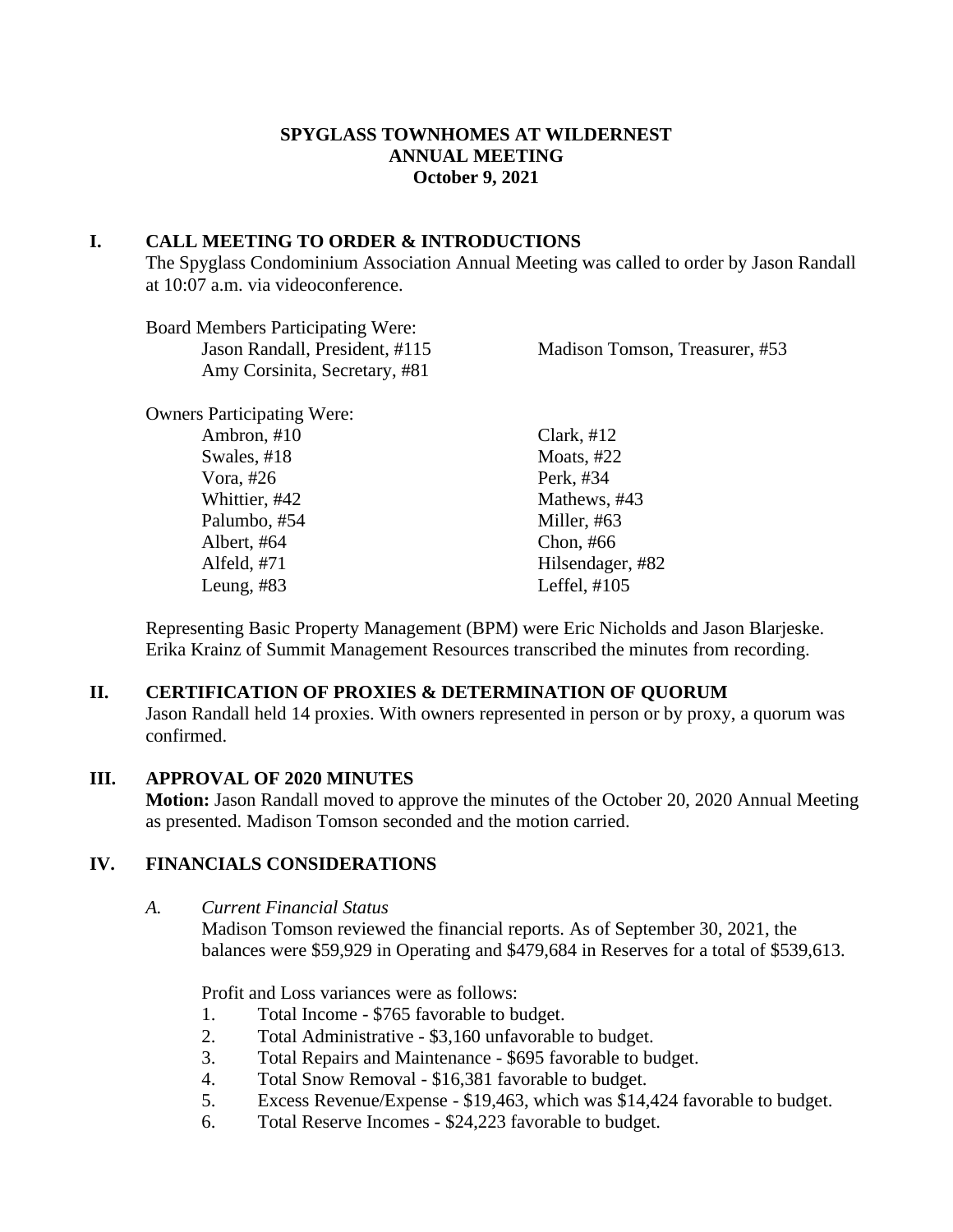### **SPYGLASS TOWNHOMES AT WILDERNEST ANNUAL MEETING October 9, 2021**

### **I. CALL MEETING TO ORDER & INTRODUCTIONS**

The Spyglass Condominium Association Annual Meeting was called to order by Jason Randall at 10:07 a.m. via videoconference.

| <b>Board Members Participating Were:</b> |                                |
|------------------------------------------|--------------------------------|
| Jason Randall, President, #115           | Madison Tomson, Treasurer, #53 |
| Amy Corsinita, Secretary, #81            |                                |
| <b>Owners Participating Were:</b>        |                                |
| Ambron, #10                              | Clark, $#12$                   |
| Swales, #18                              | Moats, $#22$                   |
| Vora, $#26$                              | Perk, #34                      |
| Whittier, #42                            | Mathews, #43                   |
| Palumbo, #54                             | Miller, #63                    |
| Albert, #64                              | Chon, $#66$                    |
| Alfeld, $#71$                            | Hilsendager, #82               |
| Leung, $#83$                             | Leffel, $\#105$                |
|                                          |                                |

Representing Basic Property Management (BPM) were Eric Nicholds and Jason Blarjeske. Erika Krainz of Summit Management Resources transcribed the minutes from recording.

### **II. CERTIFICATION OF PROXIES & DETERMINATION OF QUORUM**

Jason Randall held 14 proxies. With owners represented in person or by proxy, a quorum was confirmed.

#### **III. APPROVAL OF 2020 MINUTES**

**Motion:** Jason Randall moved to approve the minutes of the October 20, 2020 Annual Meeting as presented. Madison Tomson seconded and the motion carried.

### **IV. FINANCIALS CONSIDERATIONS**

*A. Current Financial Status*

Madison Tomson reviewed the financial reports. As of September 30, 2021, the balances were \$59,929 in Operating and \$479,684 in Reserves for a total of \$539,613.

Profit and Loss variances were as follows:

- 1. Total Income \$765 favorable to budget.
- 2. Total Administrative \$3,160 unfavorable to budget.
- 3. Total Repairs and Maintenance \$695 favorable to budget.
- 4. Total Snow Removal \$16,381 favorable to budget.
- 5. Excess Revenue/Expense \$19,463, which was \$14,424 favorable to budget.
- 6. Total Reserve Incomes \$24,223 favorable to budget.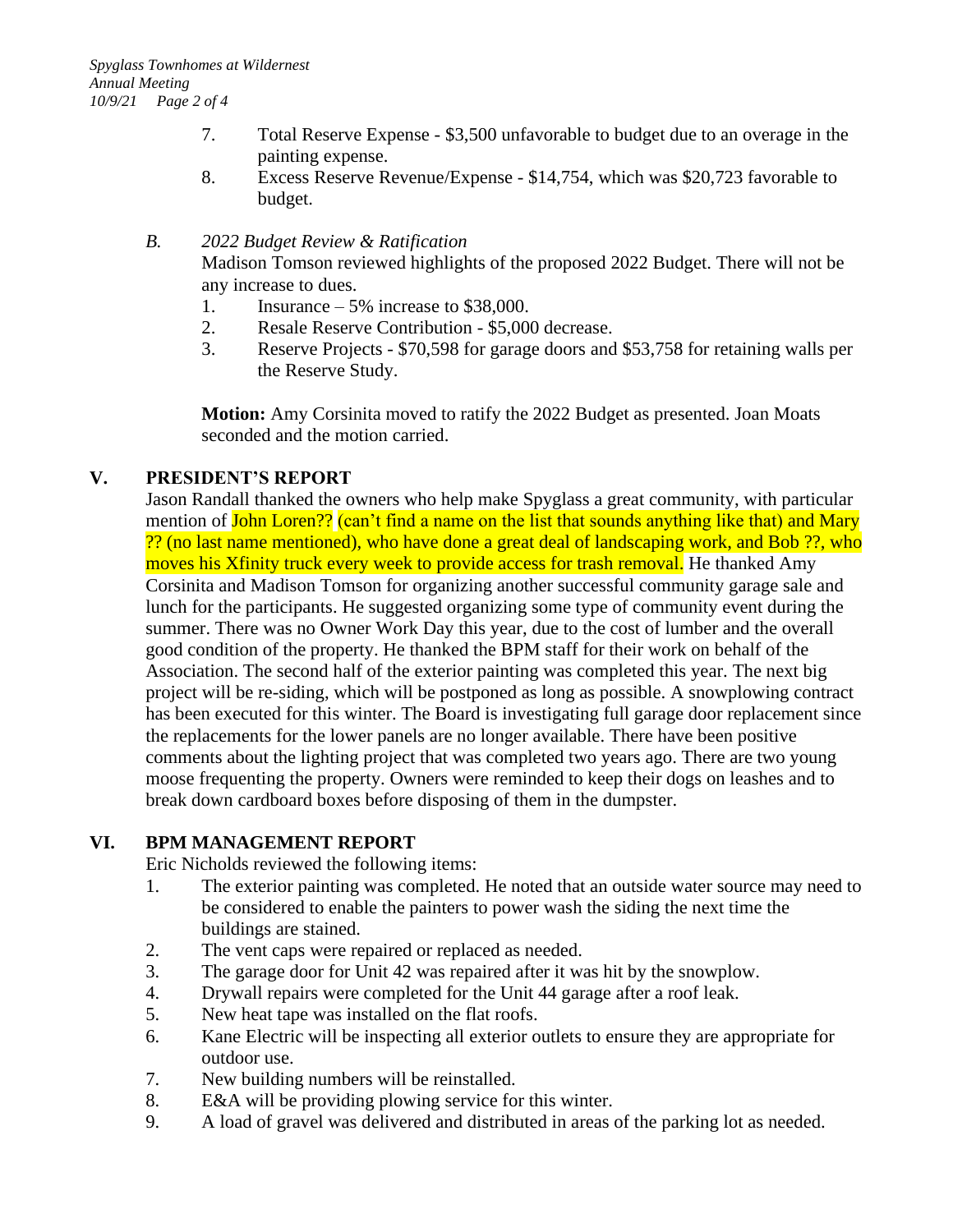- 7. Total Reserve Expense \$3,500 unfavorable to budget due to an overage in the painting expense.
- 8. Excess Reserve Revenue/Expense \$14,754, which was \$20,723 favorable to budget.

#### *B. 2022 Budget Review & Ratification*

Madison Tomson reviewed highlights of the proposed 2022 Budget. There will not be any increase to dues.

- 1. Insurance  $-5\%$  increase to \$38,000.
- 2. Resale Reserve Contribution \$5,000 decrease.
- 3. Reserve Projects \$70,598 for garage doors and \$53,758 for retaining walls per the Reserve Study.

**Motion:** Amy Corsinita moved to ratify the 2022 Budget as presented. Joan Moats seconded and the motion carried.

# **V. PRESIDENT'S REPORT**

Jason Randall thanked the owners who help make Spyglass a great community, with particular mention of John Loren?? (can't find a name on the list that sounds anything like that) and Mary ?? (no last name mentioned), who have done a great deal of landscaping work, and Bob ??, who moves his Xfinity truck every week to provide access for trash removal. He thanked Amy Corsinita and Madison Tomson for organizing another successful community garage sale and lunch for the participants. He suggested organizing some type of community event during the summer. There was no Owner Work Day this year, due to the cost of lumber and the overall good condition of the property. He thanked the BPM staff for their work on behalf of the Association. The second half of the exterior painting was completed this year. The next big project will be re-siding, which will be postponed as long as possible. A snowplowing contract has been executed for this winter. The Board is investigating full garage door replacement since the replacements for the lower panels are no longer available. There have been positive comments about the lighting project that was completed two years ago. There are two young moose frequenting the property. Owners were reminded to keep their dogs on leashes and to break down cardboard boxes before disposing of them in the dumpster.

# **VI. BPM MANAGEMENT REPORT**

Eric Nicholds reviewed the following items:

- 1. The exterior painting was completed. He noted that an outside water source may need to be considered to enable the painters to power wash the siding the next time the buildings are stained.
- 2. The vent caps were repaired or replaced as needed.
- 3. The garage door for Unit 42 was repaired after it was hit by the snowplow.
- 4. Drywall repairs were completed for the Unit 44 garage after a roof leak.
- 5. New heat tape was installed on the flat roofs.
- 6. Kane Electric will be inspecting all exterior outlets to ensure they are appropriate for outdoor use.
- 7. New building numbers will be reinstalled.
- 8. E&A will be providing plowing service for this winter.
- 9. A load of gravel was delivered and distributed in areas of the parking lot as needed.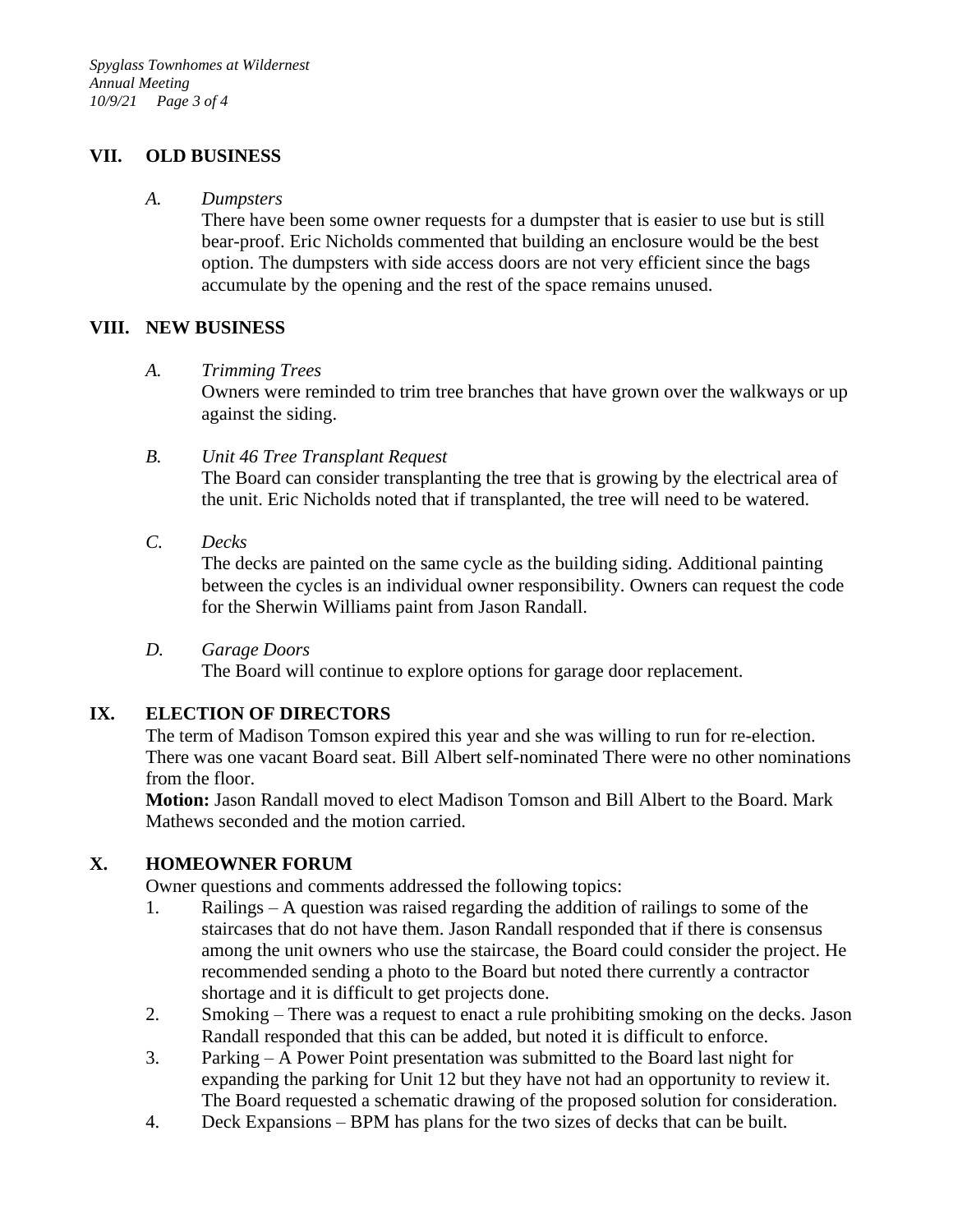## **VII. OLD BUSINESS**

#### *A. Dumpsters*

There have been some owner requests for a dumpster that is easier to use but is still bear-proof. Eric Nicholds commented that building an enclosure would be the best option. The dumpsters with side access doors are not very efficient since the bags accumulate by the opening and the rest of the space remains unused.

#### **VIII. NEW BUSINESS**

#### *A. Trimming Trees*

Owners were reminded to trim tree branches that have grown over the walkways or up against the siding.

#### *B. Unit 46 Tree Transplant Request*

The Board can consider transplanting the tree that is growing by the electrical area of the unit. Eric Nicholds noted that if transplanted, the tree will need to be watered.

# *C. Decks*

The decks are painted on the same cycle as the building siding. Additional painting between the cycles is an individual owner responsibility. Owners can request the code for the Sherwin Williams paint from Jason Randall.

#### *D. Garage Doors*

The Board will continue to explore options for garage door replacement.

# **IX. ELECTION OF DIRECTORS**

The term of Madison Tomson expired this year and she was willing to run for re-election. There was one vacant Board seat. Bill Albert self-nominated There were no other nominations from the floor.

**Motion:** Jason Randall moved to elect Madison Tomson and Bill Albert to the Board. Mark Mathews seconded and the motion carried.

# **X. HOMEOWNER FORUM**

Owner questions and comments addressed the following topics:

- 1. Railings A question was raised regarding the addition of railings to some of the staircases that do not have them. Jason Randall responded that if there is consensus among the unit owners who use the staircase, the Board could consider the project. He recommended sending a photo to the Board but noted there currently a contractor shortage and it is difficult to get projects done.
- 2. Smoking There was a request to enact a rule prohibiting smoking on the decks. Jason Randall responded that this can be added, but noted it is difficult to enforce.
- 3. Parking A Power Point presentation was submitted to the Board last night for expanding the parking for Unit 12 but they have not had an opportunity to review it. The Board requested a schematic drawing of the proposed solution for consideration.
- 4. Deck Expansions BPM has plans for the two sizes of decks that can be built.